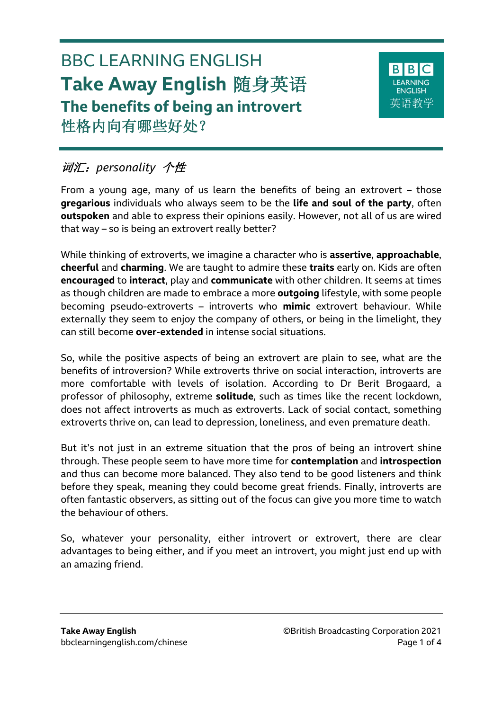# BBC LEARNING ENGLISH **Take Away English** 随身英语 **The benefits of being an introvert** 性格内向有哪些好处?



# 词汇:*personality* 个性

From a young age, many of us learn the benefits of being an extrovert – those **gregarious** individuals who always seem to be the **life and soul of the party**, often **outspoken** and able to express their opinions easily. However, not all of us are wired that way – so is being an extrovert really better?

While thinking of extroverts, we imagine a character who is **assertive**, **approachable**, **cheerful** and **charming**. We are taught to admire these **traits** early on. Kids are often **encouraged** to **interact**, play and **communicate** with other children. It seems at times as though children are made to embrace a more **outgoing** lifestyle, with some people becoming pseudo-extroverts – introverts who **mimic** extrovert behaviour. While externally they seem to enjoy the company of others, or being in the limelight, they can still become **over-extended** in intense social situations.

So, while the positive aspects of being an extrovert are plain to see, what are the benefits of introversion? While extroverts thrive on social interaction, introverts are more comfortable with levels of isolation. According to Dr Berit Brogaard, a professor of philosophy, extreme **solitude**, such as times like the recent lockdown, does not affect introverts as much as extroverts. Lack of social contact, something extroverts thrive on, can lead to depression, loneliness, and even premature death.

But it's not just in an extreme situation that the pros of being an introvert shine through. These people seem to have more time for **contemplation** and **introspection** and thus can become more balanced. They also tend to be good listeners and think before they speak, meaning they could become great friends. Finally, introverts are often fantastic observers, as sitting out of the focus can give you more time to watch the behaviour of others.

So, whatever your personality, either introvert or extrovert, there are clear advantages to being either, and if you meet an introvert, you might just end up with an amazing friend.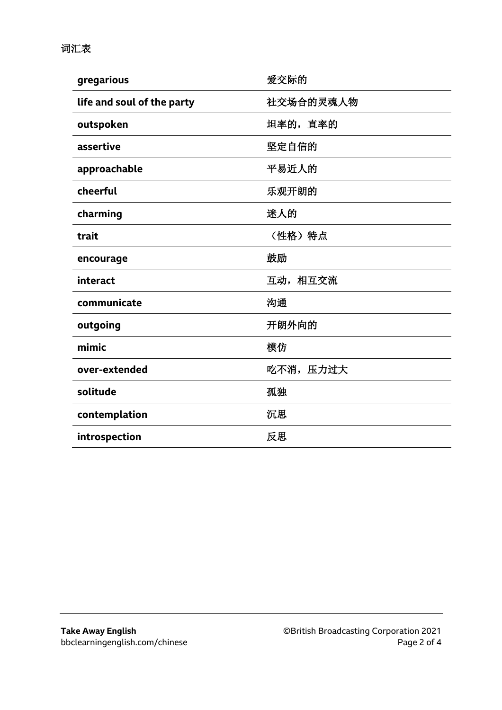| gregarious                 | 爱交际的      |
|----------------------------|-----------|
| life and soul of the party | 社交场合的灵魂人物 |
| outspoken                  | 坦率的,直率的   |
| assertive                  | 坚定自信的     |
| approachable               | 平易近人的     |
| cheerful                   | 乐观开朗的     |
| charming                   | 迷人的       |
| trait                      | (性格) 特点   |
| encourage                  | 鼓励        |
| interact                   | 互动,相互交流   |
| communicate                | 沟通        |
| outgoing                   | 开朗外向的     |
| mimic                      | 模仿        |
| over-extended              | 吃不消, 压力过大 |
| solitude                   | 孤独        |
| contemplation              | 沉思        |
| introspection              | 反思        |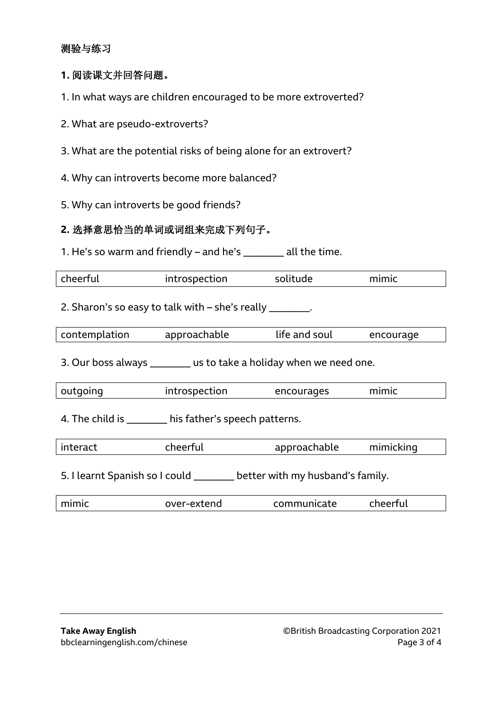# 测验与练习

#### **1.** 阅读课文并回答问题。

- 1. In what ways are children encouraged to be more extroverted?
- 2. What are pseudo-extroverts?
- 3. What are the potential risks of being alone for an extrovert?
- 4. Why can introverts become more balanced?
- 5. Why can introverts be good friends?

#### **2.** 选择意思恰当的单词或词组来完成下列句子。

1. He's so warm and friendly – and he's  $\frac{1}{2}$  all the time.

| cheerful | introspection | solitude | mimic |
|----------|---------------|----------|-------|
|          |               |          |       |

2. Sharon's so easy to talk with – she's really  $\qquad \qquad$ .

| contemplation | approachable | life and soul | encourage |
|---------------|--------------|---------------|-----------|
|               |              |               |           |

3. Our boss always \_\_\_\_\_\_\_\_ us to take a holiday when we need one.

| outgoing | introspection |            |       |  |
|----------|---------------|------------|-------|--|
|          |               | encourages | mimic |  |
|          |               |            |       |  |

4. The child is \_\_\_\_\_\_\_\_\_ his father's speech patterns.

| interact | cheerful | approachable | mimicking |  |
|----------|----------|--------------|-----------|--|
|----------|----------|--------------|-----------|--|

5. I learnt Spanish so I could \_\_\_\_\_\_\_\_ better with my husband's family.

| mimic | over-extend | communicate | -------- |
|-------|-------------|-------------|----------|
|       |             |             |          |